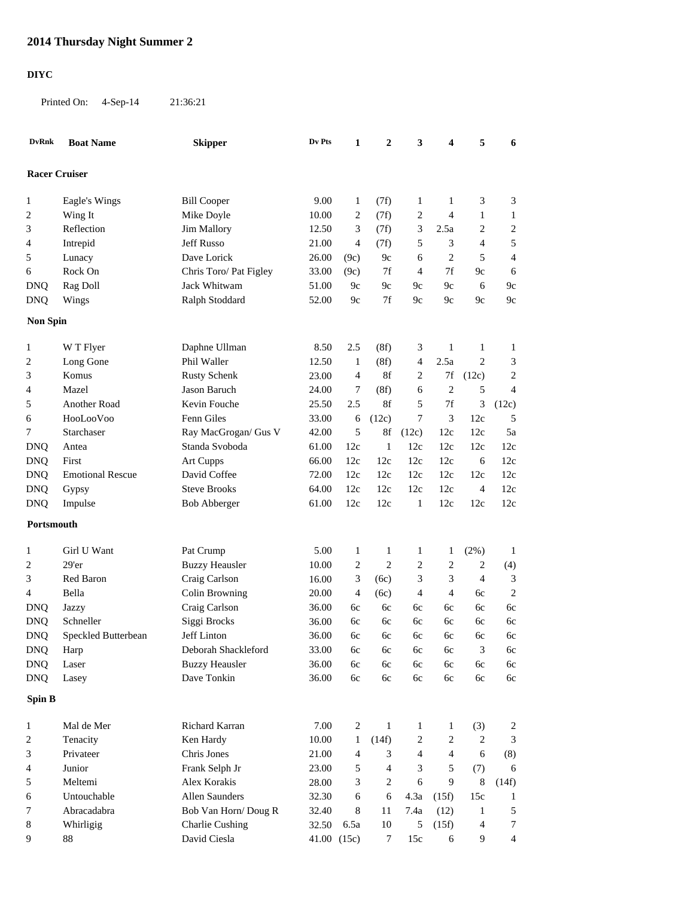## **2014 Thursday Night Summer 2**

## **DIYC**

Printed On: 4-Sep-14 21:36:21

| <b>DvRnk</b>         | <b>Boat Name</b>        | <b>Skipper</b>               | Dv Pts         | 1            | 2                | 3                | 4                      | 5              | 6                       |
|----------------------|-------------------------|------------------------------|----------------|--------------|------------------|------------------|------------------------|----------------|-------------------------|
| <b>Racer Cruiser</b> |                         |                              |                |              |                  |                  |                        |                |                         |
| 1                    | Eagle's Wings           | <b>Bill Cooper</b>           | 9.00           | $\mathbf{1}$ | (7f)             | 1                | $\mathbf{1}$           | 3              | $\mathfrak{Z}$          |
| $\overline{c}$       | Wing It                 | Mike Doyle                   | 10.00          | 2            | (7f)             | $\overline{c}$   | 4                      | $\mathbf{1}$   | $\mathbf{1}$            |
| 3                    | Reflection              | <b>Jim Mallory</b>           | 12.50          | 3            | (7f)             | 3                | 2.5a                   | $\overline{c}$ | $\overline{c}$          |
| 4                    | Intrepid                | Jeff Russo                   | 21.00          | 4            | (7f)             | 5                | 3                      | $\overline{4}$ | 5                       |
| 5                    | Lunacy                  | Dave Lorick                  | 26.00          | (9c)         | 9c               | 6                | $\overline{c}$         | 5              | $\overline{4}$          |
| 6                    | Rock On                 | Chris Toro/ Pat Figley       | 33.00          | (9c)         | 7f               | $\overline{4}$   | $7f$                   | 9c             | 6                       |
| <b>DNQ</b>           | Rag Doll                | Jack Whitwam                 | 51.00          | 9c           | 9c               | 9c               | 9c                     | 6              | 9c                      |
| <b>DNQ</b>           | Wings                   | Ralph Stoddard               | 52.00          | 9c           | 7f               | 9c               | 9c                     | 9c             | 9c                      |
| <b>Non Spin</b>      |                         |                              |                |              |                  |                  |                        |                |                         |
|                      |                         |                              |                |              |                  |                  |                        |                |                         |
| 1                    | W T Flyer               | Daphne Ullman                | 8.50           | 2.5          | (8f)             | 3                | $\mathbf{1}$           | $\mathbf{1}$   | $\mathbf{1}$            |
| $\overline{c}$       | Long Gone<br>Komus      | Phil Waller                  | 12.50          | 1            | (8f)             | 4                | 2.5a                   | $\overline{2}$ | 3                       |
| 3                    | Mazel                   | <b>Rusty Schenk</b>          | 23.00          | 4            | 8f               | 2                | $7\mathrm{f}$          | (12c)          | $\overline{c}$          |
| 4                    | <b>Another Road</b>     | Jason Baruch<br>Kevin Fouche | 24.00<br>25.50 | 7<br>2.5     | (8f)<br>8f       | 6<br>5           | $\overline{2}$<br>$7f$ | 5              | $\overline{4}$          |
| 5                    |                         |                              |                |              |                  |                  |                        | 3              | (12c)                   |
| 6                    | HooLooVoo               | Fenn Giles                   | 33.00          | 6            | (12c)            | 7                | 3                      | 12c            | 5                       |
| 7                    | Starchaser              | Ray MacGrogan/ Gus V         | 42.00          | 5            | $8\mathrm{f}$    | (12c)            | 12c                    | 12c            | 5a                      |
| <b>DNQ</b>           | Antea                   | Standa Svoboda               | 61.00          | 12c          | 1                | 12c              | 12c                    | 12c            | 12c                     |
| <b>DNQ</b>           | First                   | <b>Art Cupps</b>             | 66.00          | 12c          | 12c              | 12c              | 12c                    | 6              | 12c                     |
| <b>DNQ</b>           | <b>Emotional Rescue</b> | David Coffee                 | 72.00          | 12c          | 12c              | 12c              | 12c                    | 12c            | 12c                     |
| <b>DNQ</b>           | Gypsy                   | <b>Steve Brooks</b>          | 64.00          | 12c          | 12c              | 12c              | 12c                    | $\overline{4}$ | 12c                     |
| <b>DNQ</b>           | Impulse                 | <b>Bob Abberger</b>          | 61.00          | 12c          | 12c              | 1                | 12c                    | 12c            | 12c                     |
| Portsmouth           |                         |                              |                |              |                  |                  |                        |                |                         |
| 1                    | Girl U Want             | Pat Crump                    | 5.00           | 1            | 1                | 1                | 1                      | (2%)           | $\mathbf{1}$            |
| $\overline{c}$       | 29'er                   | <b>Buzzy Heausler</b>        | 10.00          | 2            | $\overline{c}$   | 2                | 2                      | $\overline{c}$ | (4)                     |
| 3                    | Red Baron               | Craig Carlson                | 16.00          | 3            | (6c)             | 3                | 3                      | $\overline{4}$ | 3                       |
| 4                    | Bella                   | Colin Browning               | 20.00          | 4            | (6c)             | 4                | 4                      | 6c             | $\overline{2}$          |
| <b>DNQ</b>           | Jazzy                   | Craig Carlson                | 36.00          | 6c           | 6c               | 6c               | 6c                     | 6c             | 6c                      |
| <b>DNQ</b>           | Schneller               | Siggi Brocks                 | 36.00          | 6c           | 6c               | 6c               | 6c                     | 6c             | 6c                      |
| <b>DNQ</b>           | Speckled Butterbean     | Jeff Linton                  | 36.00          | 6с           | 6с               | 6c               | 6с                     | 6c             | 6c                      |
| <b>DNQ</b>           | Harp                    | Deborah Shackleford          | 33.00          | 6c           | 6c               | 6c               | 6c                     | 3              | 6c                      |
| <b>DNQ</b>           | Laser                   | <b>Buzzy Heausler</b>        | 36.00          | 6c           | 6c               | 6c               | 6c                     | 6c             | 6c                      |
| <b>DNQ</b>           | Lasey                   | Dave Tonkin                  | 36.00          | 6c           | 6c               | 6c               | 6c                     | 6c             | 6c                      |
| Spin B               |                         |                              |                |              |                  |                  |                        |                |                         |
| $\mathbf{1}$         | Mal de Mer              | Richard Karran               | 7.00           | $\sqrt{2}$   | $\mathbf{1}$     | 1                | 1                      | (3)            | $\overline{\mathbf{c}}$ |
| 2                    | Tenacity                | Ken Hardy                    | 10.00          | $\mathbf{1}$ | (14f)            | $\boldsymbol{2}$ | $\sqrt{2}$             | $\sqrt{2}$     | 3                       |
| 3                    | Privateer               | Chris Jones                  | 21.00          | 4            | 3                | $\overline{4}$   | $\overline{4}$         | 6              | (8)                     |
| 4                    | Junior                  | Frank Selph Jr               | 23.00          | 5            | 4                | 3                | 5                      | (7)            | 6                       |
| 5                    | Meltemi                 | Alex Korakis                 | 28.00          | 3            | $\overline{c}$   | 6                | 9                      | $\,8\,$        | (14f)                   |
| 6                    | Untouchable             | Allen Saunders               | 32.30          | 6            | 6                | 4.3a             | (15f)                  | 15c            | $\mathbf{1}$            |
| 7                    | Abracadabra             | Bob Van Horn/Doug R          | 32.40          | 8            | 11               | 7.4a             | (12)                   | $\mathbf{1}$   | 5                       |
| 8                    | Whirligig               | <b>Charlie Cushing</b>       | 32.50          | 6.5a         | 10               | 5                | (15f)                  | $\overline{4}$ | 7                       |
| 9                    | 88                      | David Ciesla                 | 41.00 (15c)    |              | $\boldsymbol{7}$ | 15c              | 6                      | 9              | $\overline{4}$          |
|                      |                         |                              |                |              |                  |                  |                        |                |                         |